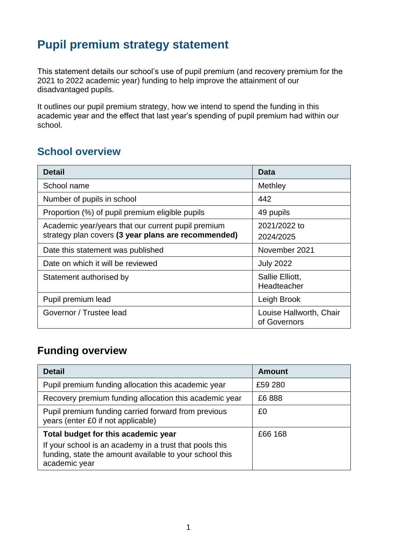## **Pupil premium strategy statement**

This statement details our school's use of pupil premium (and recovery premium for the 2021 to 2022 academic year) funding to help improve the attainment of our disadvantaged pupils.

It outlines our pupil premium strategy, how we intend to spend the funding in this academic year and the effect that last year's spending of pupil premium had within our school.

## **School overview**

| <b>Detail</b>                                       | Data                                    |
|-----------------------------------------------------|-----------------------------------------|
| School name                                         | Methley                                 |
| Number of pupils in school                          | 442                                     |
| Proportion (%) of pupil premium eligible pupils     | 49 pupils                               |
| Academic year/years that our current pupil premium  | 2021/2022 to                            |
| strategy plan covers (3 year plans are recommended) | 2024/2025                               |
| Date this statement was published                   | November 2021                           |
| Date on which it will be reviewed                   | <b>July 2022</b>                        |
| Statement authorised by                             | Sallie Elliott,                         |
|                                                     | Headteacher                             |
| Pupil premium lead                                  | Leigh Brook                             |
| Governor / Trustee lead                             | Louise Hallworth, Chair<br>of Governors |

## **Funding overview**

| <b>Detail</b>                                                                                                                       | <b>Amount</b> |
|-------------------------------------------------------------------------------------------------------------------------------------|---------------|
| Pupil premium funding allocation this academic year                                                                                 | £59 280       |
| Recovery premium funding allocation this academic year                                                                              | £6888         |
| Pupil premium funding carried forward from previous<br>years (enter £0 if not applicable)                                           | £0            |
| Total budget for this academic year                                                                                                 | £66 168       |
| If your school is an academy in a trust that pools this<br>funding, state the amount available to your school this<br>academic year |               |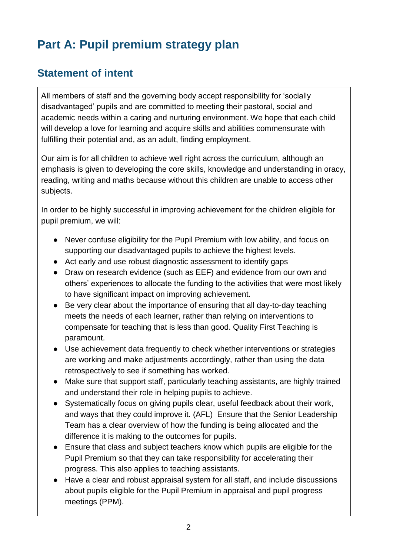# **Part A: Pupil premium strategy plan**

## **Statement of intent**

All members of staff and the governing body accept responsibility for 'socially disadvantaged' pupils and are committed to meeting their pastoral, social and academic needs within a caring and nurturing environment. We hope that each child will develop a love for learning and acquire skills and abilities commensurate with fulfilling their potential and, as an adult, finding employment.

Our aim is for all children to achieve well right across the curriculum, although an emphasis is given to developing the core skills, knowledge and understanding in oracy, reading, writing and maths because without this children are unable to access other subjects.

In order to be highly successful in improving achievement for the children eligible for pupil premium, we will:

- Never confuse eligibility for the Pupil Premium with low ability, and focus on supporting our disadvantaged pupils to achieve the highest levels.
- Act early and use robust diagnostic assessment to identify gaps
- Draw on research evidence (such as EEF) and evidence from our own and others' experiences to allocate the funding to the activities that were most likely to have significant impact on improving achievement.
- Be very clear about the importance of ensuring that all day-to-day teaching meets the needs of each learner, rather than relying on interventions to compensate for teaching that is less than good. Quality First Teaching is paramount.
- Use achievement data frequently to check whether interventions or strategies are working and make adjustments accordingly, rather than using the data retrospectively to see if something has worked.
- Make sure that support staff, particularly teaching assistants, are highly trained and understand their role in helping pupils to achieve.
- Systematically focus on giving pupils clear, useful feedback about their work, and ways that they could improve it. (AFL) Ensure that the Senior Leadership Team has a clear overview of how the funding is being allocated and the difference it is making to the outcomes for pupils.
- Ensure that class and subject teachers know which pupils are eligible for the Pupil Premium so that they can take responsibility for accelerating their progress. This also applies to teaching assistants.
- Have a clear and robust appraisal system for all staff, and include discussions about pupils eligible for the Pupil Premium in appraisal and pupil progress meetings (PPM).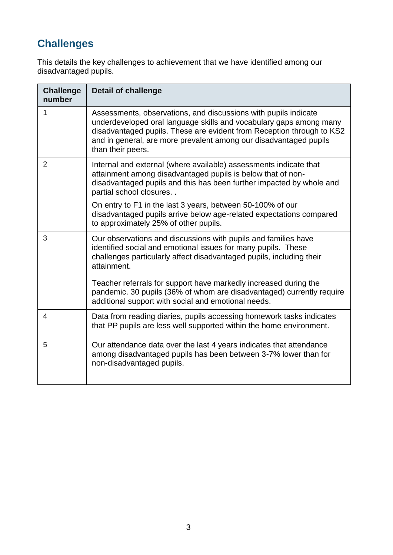## **Challenges**

This details the key challenges to achievement that we have identified among our disadvantaged pupils.

| <b>Challenge</b><br>number | <b>Detail of challenge</b>                                                                                                                                                                                                                                                                               |
|----------------------------|----------------------------------------------------------------------------------------------------------------------------------------------------------------------------------------------------------------------------------------------------------------------------------------------------------|
| 1                          | Assessments, observations, and discussions with pupils indicate<br>underdeveloped oral language skills and vocabulary gaps among many<br>disadvantaged pupils. These are evident from Reception through to KS2<br>and in general, are more prevalent among our disadvantaged pupils<br>than their peers. |
| $\overline{2}$             | Internal and external (where available) assessments indicate that<br>attainment among disadvantaged pupils is below that of non-<br>disadvantaged pupils and this has been further impacted by whole and<br>partial school closures                                                                      |
|                            | On entry to F1 in the last 3 years, between 50-100% of our<br>disadvantaged pupils arrive below age-related expectations compared<br>to approximately 25% of other pupils.                                                                                                                               |
| 3                          | Our observations and discussions with pupils and families have<br>identified social and emotional issues for many pupils. These<br>challenges particularly affect disadvantaged pupils, including their<br>attainment.                                                                                   |
|                            | Teacher referrals for support have markedly increased during the<br>pandemic. 30 pupils (36% of whom are disadvantaged) currently require<br>additional support with social and emotional needs.                                                                                                         |
| 4                          | Data from reading diaries, pupils accessing homework tasks indicates<br>that PP pupils are less well supported within the home environment.                                                                                                                                                              |
| 5                          | Our attendance data over the last 4 years indicates that attendance<br>among disadvantaged pupils has been between 3-7% lower than for<br>non-disadvantaged pupils.                                                                                                                                      |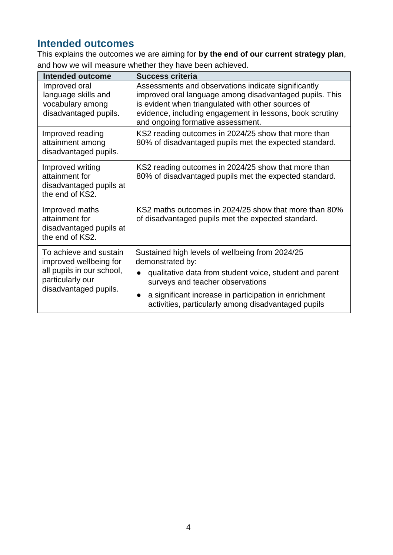## **Intended outcomes**

This explains the outcomes we are aiming for **by the end of our current strategy plan**, and how we will measure whether they have been achieved.

| <b>Intended outcome</b>                                                                                                    | <b>Success criteria</b>                                                                                                                                                                                                                                                                         |
|----------------------------------------------------------------------------------------------------------------------------|-------------------------------------------------------------------------------------------------------------------------------------------------------------------------------------------------------------------------------------------------------------------------------------------------|
| Improved oral<br>language skills and<br>vocabulary among<br>disadvantaged pupils.                                          | Assessments and observations indicate significantly<br>improved oral language among disadvantaged pupils. This<br>is evident when triangulated with other sources of<br>evidence, including engagement in lessons, book scrutiny<br>and ongoing formative assessment.                           |
| Improved reading<br>attainment among<br>disadvantaged pupils.                                                              | KS2 reading outcomes in 2024/25 show that more than<br>80% of disadvantaged pupils met the expected standard.                                                                                                                                                                                   |
| Improved writing<br>attainment for<br>disadvantaged pupils at<br>the end of KS2.                                           | KS2 reading outcomes in 2024/25 show that more than<br>80% of disadvantaged pupils met the expected standard.                                                                                                                                                                                   |
| Improved maths<br>attainment for<br>disadvantaged pupils at<br>the end of KS2.                                             | KS2 maths outcomes in 2024/25 show that more than 80%<br>of disadvantaged pupils met the expected standard.                                                                                                                                                                                     |
| To achieve and sustain<br>improved wellbeing for<br>all pupils in our school,<br>particularly our<br>disadvantaged pupils. | Sustained high levels of wellbeing from 2024/25<br>demonstrated by:<br>qualitative data from student voice, student and parent<br>surveys and teacher observations<br>a significant increase in participation in enrichment<br>$\bullet$<br>activities, particularly among disadvantaged pupils |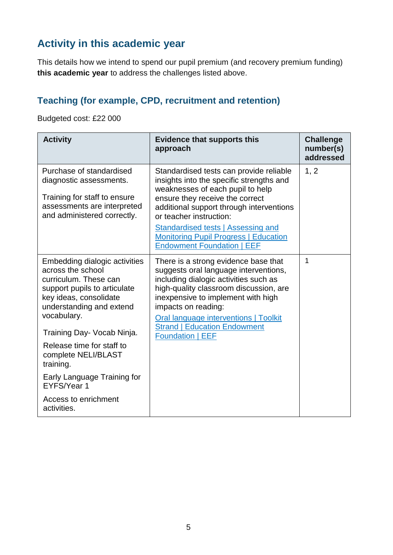## **Activity in this academic year**

This details how we intend to spend our pupil premium (and recovery premium funding) **this academic year** to address the challenges listed above.

## **Teaching (for example, CPD, recruitment and retention)**

Budgeted cost: £22 000

| <b>Activity</b>                                                                                                                                                                                                                                                                                                                                                      | <b>Evidence that supports this</b><br>approach                                                                                                                                                                                                                                                                                                               | <b>Challenge</b><br>number(s)<br>addressed |
|----------------------------------------------------------------------------------------------------------------------------------------------------------------------------------------------------------------------------------------------------------------------------------------------------------------------------------------------------------------------|--------------------------------------------------------------------------------------------------------------------------------------------------------------------------------------------------------------------------------------------------------------------------------------------------------------------------------------------------------------|--------------------------------------------|
| Purchase of standardised<br>diagnostic assessments.<br>Training for staff to ensure<br>assessments are interpreted<br>and administered correctly.                                                                                                                                                                                                                    | Standardised tests can provide reliable<br>insights into the specific strengths and<br>weaknesses of each pupil to help<br>ensure they receive the correct<br>additional support through interventions<br>or teacher instruction:<br>Standardised tests   Assessing and<br><b>Monitoring Pupil Progress   Education</b><br><b>Endowment Foundation   EEF</b> | 1, 2                                       |
| Embedding dialogic activities<br>across the school<br>curriculum. These can<br>support pupils to articulate<br>key ideas, consolidate<br>understanding and extend<br>vocabulary.<br>Training Day- Vocab Ninja.<br>Release time for staff to<br>complete NELI/BLAST<br>training.<br>Early Language Training for<br>EYFS/Year 1<br>Access to enrichment<br>activities. | There is a strong evidence base that<br>suggests oral language interventions,<br>including dialogic activities such as<br>high-quality classroom discussion, are<br>inexpensive to implement with high<br>impacts on reading:<br><b>Oral language interventions   Toolkit</b><br><b>Strand   Education Endowment</b><br><b>Foundation   EEF</b>              | 1                                          |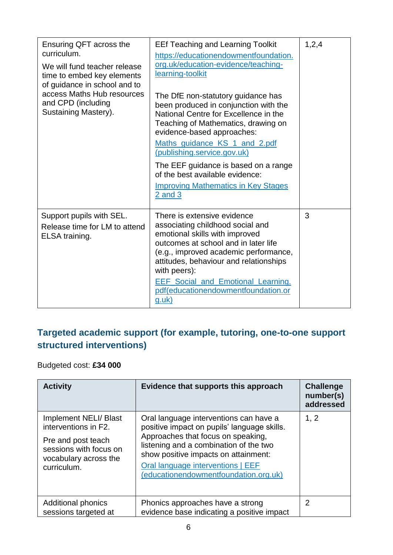| Ensuring QFT across the<br>curriculum.<br>We will fund teacher release<br>time to embed key elements<br>of guidance in school and to<br>access Maths Hub resources<br>and CPD (including<br>Sustaining Mastery). | <b>EEf Teaching and Learning Toolkit</b><br>https://educationendowmentfoundation.<br>org.uk/education-evidence/teaching-<br>learning-toolkit<br>The DfE non-statutory guidance has<br>been produced in conjunction with the<br>National Centre for Excellence in the<br>Teaching of Mathematics, drawing on<br>evidence-based approaches:<br>Maths guidance KS 1 and 2.pdf<br>(publishing.service.gov.uk)<br>The EEF guidance is based on a range<br>of the best available evidence:<br><b>Improving Mathematics in Key Stages</b><br>$2$ and $3$ | 1,2,4 |
|------------------------------------------------------------------------------------------------------------------------------------------------------------------------------------------------------------------|---------------------------------------------------------------------------------------------------------------------------------------------------------------------------------------------------------------------------------------------------------------------------------------------------------------------------------------------------------------------------------------------------------------------------------------------------------------------------------------------------------------------------------------------------|-------|
| Support pupils with SEL.<br>Release time for LM to attend<br>ELSA training.                                                                                                                                      | There is extensive evidence<br>associating childhood social and<br>emotional skills with improved<br>outcomes at school and in later life<br>(e.g., improved academic performance,<br>attitudes, behaviour and relationships<br>with peers):<br><b>EEF Social and Emotional Learning.</b><br>pdf(educationendowmentfoundation.or<br><u>g.uk)</u>                                                                                                                                                                                                  | 3     |

## **Targeted academic support (for example, tutoring, one-to-one support structured interventions)**

### Budgeted cost: **£34 000**

| <b>Activity</b>                                                                                                                              | Evidence that supports this approach                                                                                                                                                                                                                                                        | <b>Challenge</b><br>number(s)<br>addressed |
|----------------------------------------------------------------------------------------------------------------------------------------------|---------------------------------------------------------------------------------------------------------------------------------------------------------------------------------------------------------------------------------------------------------------------------------------------|--------------------------------------------|
| <b>Implement NELI/ Blast</b><br>interventions in F2.<br>Pre and post teach<br>sessions with focus on<br>vocabulary across the<br>curriculum. | Oral language interventions can have a<br>positive impact on pupils' language skills.<br>Approaches that focus on speaking,<br>listening and a combination of the two<br>show positive impacts on attainment:<br>Oral language interventions   EEF<br>(educationendowmentfoundation.org.uk) | 1, 2                                       |
| <b>Additional phonics</b><br>sessions targeted at                                                                                            | Phonics approaches have a strong<br>evidence base indicating a positive impact                                                                                                                                                                                                              | 2                                          |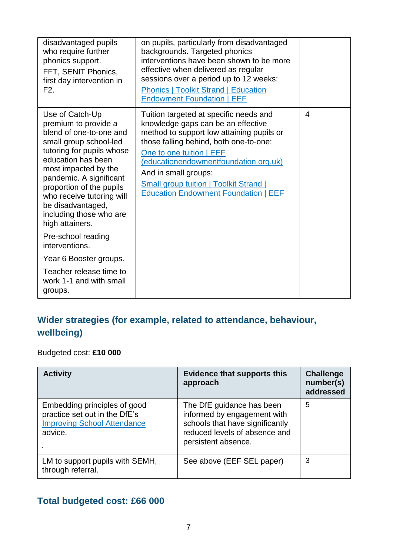| disadvantaged pupils<br>who require further<br>phonics support.<br>FFT, SENIT Phonics,<br>first day intervention in<br>F2.                                                                                                                                                                                                     | on pupils, particularly from disadvantaged<br>backgrounds. Targeted phonics<br>interventions have been shown to be more<br>effective when delivered as regular<br>sessions over a period up to 12 weeks:<br><b>Phonics   Toolkit Strand   Education</b><br><b>Endowment Foundation   EEF</b>                                                                     |                |
|--------------------------------------------------------------------------------------------------------------------------------------------------------------------------------------------------------------------------------------------------------------------------------------------------------------------------------|------------------------------------------------------------------------------------------------------------------------------------------------------------------------------------------------------------------------------------------------------------------------------------------------------------------------------------------------------------------|----------------|
| Use of Catch-Up<br>premium to provide a<br>blend of one-to-one and<br>small group school-led<br>tutoring for pupils whose<br>education has been<br>most impacted by the<br>pandemic. A significant<br>proportion of the pupils<br>who receive tutoring will<br>be disadvantaged,<br>including those who are<br>high attainers. | Tuition targeted at specific needs and<br>knowledge gaps can be an effective<br>method to support low attaining pupils or<br>those falling behind, both one-to-one:<br>One to one tuition   EEF<br>(educationendowmentfoundation.org.uk)<br>And in small groups:<br><b>Small group tuition   Toolkit Strand  </b><br><b>Education Endowment Foundation   EEF</b> | $\overline{4}$ |
| Pre-school reading<br>interventions.                                                                                                                                                                                                                                                                                           |                                                                                                                                                                                                                                                                                                                                                                  |                |
| Year 6 Booster groups.                                                                                                                                                                                                                                                                                                         |                                                                                                                                                                                                                                                                                                                                                                  |                |
| Teacher release time to<br>work 1-1 and with small<br>groups.                                                                                                                                                                                                                                                                  |                                                                                                                                                                                                                                                                                                                                                                  |                |

## **Wider strategies (for example, related to attendance, behaviour, wellbeing)**

Budgeted cost: **£10 000**

| <b>Activity</b>                                                                                                | <b>Evidence that supports this</b><br>approach                                                                                                      | <b>Challenge</b><br>number(s)<br>addressed |
|----------------------------------------------------------------------------------------------------------------|-----------------------------------------------------------------------------------------------------------------------------------------------------|--------------------------------------------|
| Embedding principles of good<br>practice set out in the DfE's<br><b>Improving School Attendance</b><br>advice. | The DfE guidance has been<br>informed by engagement with<br>schools that have significantly<br>reduced levels of absence and<br>persistent absence. | 5                                          |
| LM to support pupils with SEMH,<br>through referral.                                                           | See above (EEF SEL paper)                                                                                                                           | 3                                          |

### **Total budgeted cost: £66 000**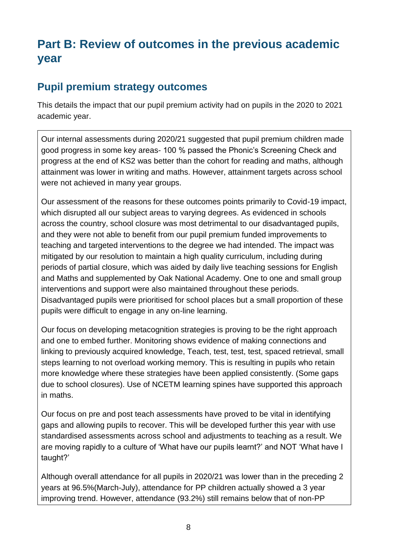## **Part B: Review of outcomes in the previous academic year**

## **Pupil premium strategy outcomes**

This details the impact that our pupil premium activity had on pupils in the 2020 to 2021 academic year.

Our internal assessments during 2020/21 suggested that pupil premium children made good progress in some key areas- 100 % passed the Phonic's Screening Check and progress at the end of KS2 was better than the cohort for reading and maths, although attainment was lower in writing and maths. However, attainment targets across school were not achieved in many year groups.

Our assessment of the reasons for these outcomes points primarily to Covid-19 impact, which disrupted all our subject areas to varying degrees. As evidenced in schools across the country, school closure was most detrimental to our disadvantaged pupils, and they were not able to benefit from our pupil premium funded improvements to teaching and targeted interventions to the degree we had intended. The impact was mitigated by our resolution to maintain a high quality curriculum, including during periods of partial closure, which was aided by daily live teaching sessions for English and Maths and supplemented by Oak National Academy. One to one and small group interventions and support were also maintained throughout these periods. Disadvantaged pupils were prioritised for school places but a small proportion of these pupils were difficult to engage in any on-line learning.

Our focus on developing metacognition strategies is proving to be the right approach and one to embed further. Monitoring shows evidence of making connections and linking to previously acquired knowledge, Teach, test, test, test, spaced retrieval, small steps learning to not overload working memory. This is resulting in pupils who retain more knowledge where these strategies have been applied consistently. (Some gaps due to school closures). Use of NCETM learning spines have supported this approach in maths.

Our focus on pre and post teach assessments have proved to be vital in identifying gaps and allowing pupils to recover. This will be developed further this year with use standardised assessments across school and adjustments to teaching as a result. We are moving rapidly to a culture of 'What have our pupils learnt?' and NOT 'What have I taught?'

Although overall attendance for all pupils in 2020/21 was lower than in the preceding 2 years at 96.5%(March-July), attendance for PP children actually showed a 3 year improving trend. However, attendance (93.2%) still remains below that of non-PP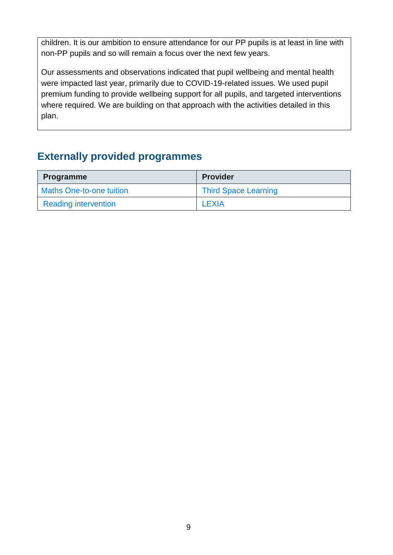children. It is our ambition to ensure attendance for our PP pupils is at least in line with non-PP pupils and so will remain a focus over the next few years.

Our assessments and observations indicated that pupil wellbeing and mental health were impacted last year, primarily due to COVID-19-related issues. We used pupil premium funding to provide wellbeing support for all pupils, and targeted interventions where required. We are building on that approach with the activities detailed in this plan.

## **Externally provided programmes**

| <b>Programme</b>                | <b>Provider</b>             |
|---------------------------------|-----------------------------|
| <b>Maths One-to-one tuition</b> | <b>Third Space Learning</b> |
| <b>Reading intervention</b>     | LEXIA                       |